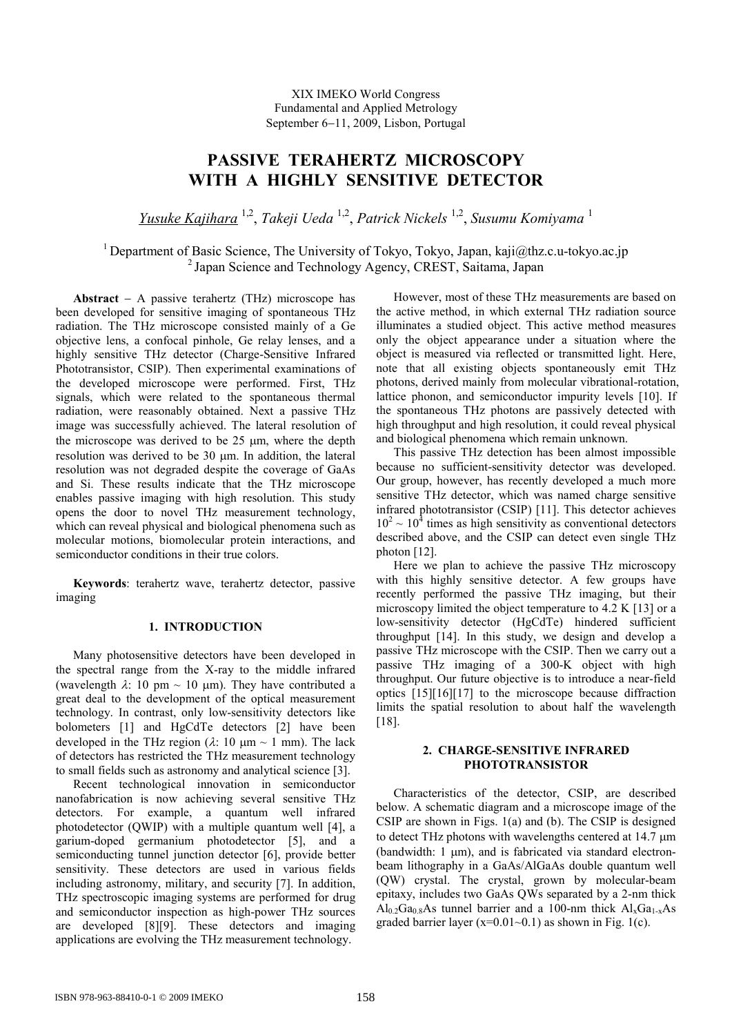# **PASSIVE TERAHERTZ MICROSCOPY WITH A HIGHLY SENSITIVE DETECTOR**

*Yusuke Kajihara* 1,2 , *Takeji Ueda* 1,2 , *Patrick Nickels* 1,2 , *Susumu Komiyama* 1

<sup>1</sup> Department of Basic Science, The University of Tokyo, Tokyo, Japan, kaji $\omega$ thz.c.u-tokyo.ac.jp <sup>2</sup> Japan Science and Technology Agency, CREST, Saitama, Japan

**Abstract**  $-$  A passive terahertz (THz) microscope has been developed for sensitive imaging of spontaneous THz radiation. The THz microscope consisted mainly of a Ge objective lens, a confocal pinhole, Ge relay lenses, and a highly sensitive THz detector (Charge-Sensitive Infrared Phototransistor, CSIP). Then experimental examinations of the developed microscope were performed. First, THz signals, which were related to the spontaneous thermal radiation, were reasonably obtained. Next a passive THz image was successfully achieved. The lateral resolution of the microscope was derived to be  $25 \mu m$ , where the depth resolution was derived to be 30 um. In addition, the lateral resolution was not degraded despite the coverage of GaAs and Si. These results indicate that the THz microscope enables passive imaging with high resolution. This study opens the door to novel THz measurement technology, which can reveal physical and biological phenomena such as molecular motions, biomolecular protein interactions, and semiconductor conditions in their true colors.

**Keywords**: terahertz wave, terahertz detector, passive imaging

# **1. INTRODUCTION**

Many photosensitive detectors have been developed in the spectral range from the X-ray to the middle infrared (wavelength  $\lambda$ : 10 pm  $\sim$  10 µm). They have contributed a great deal to the development of the optical measurement technology. In contrast, only low-sensitivity detectors like bolometers [1] and HgCdTe detectors [2] have been developed in the THz region ( $\lambda$ : 10  $\mu$ m ~ 1 mm). The lack of detectors has restricted the THz measurement technology to small fields such as astronomy and analytical science [3].

Recent technological innovation in semiconductor nanofabrication is now achieving several sensitive THz detectors. For example, a quantum well infrared photodetector (QWIP) with a multiple quantum well [4], a garium-doped germanium photodetector [5], and a semiconducting tunnel junction detector [6], provide better sensitivity. These detectors are used in various fields including astronomy, military, and security [7]. In addition, THz spectroscopic imaging systems are performed for drug and semiconductor inspection as high-power THz sources are developed [8][9]. These detectors and imaging applications are evolving the THz measurement technology.

However, most of these THz measurements are based on the active method, in which external THz radiation source illuminates a studied object. This active method measures only the object appearance under a situation where the object is measured via reflected or transmitted light. Here, note that all existing objects spontaneously emit THz photons, derived mainly from molecular vibrational-rotation, lattice phonon, and semiconductor impurity levels [10]. If the spontaneous THz photons are passively detected with high throughput and high resolution, it could reveal physical and biological phenomena which remain unknown.

This passive THz detection has been almost impossible because no sufficient-sensitivity detector was developed. Our group, however, has recently developed a much more sensitive THz detector, which was named charge sensitive infrared phototransistor (CSIP) [11]. This detector achieves  $10^2 \sim 10^4$  times as high sensitivity as conventional detectors described above, and the CSIP can detect even single THz photon [12].

Here we plan to achieve the passive THz microscopy with this highly sensitive detector. A few groups have recently performed the passive THz imaging, but their microscopy limited the object temperature to 4.2 K [13] or a low-sensitivity detector (HgCdTe) hindered sufficient throughput [14]. In this study, we design and develop a passive THz microscope with the CSIP. Then we carry out a passive THz imaging of a 300-K object with high throughput. Our future objective is to introduce a near-field optics [15][16][17] to the microscope because diffraction limits the spatial resolution to about half the wavelength [18].

## **2. CHARGE-SENSITIVE INFRARED PHOTOTRANSISTOR**

Characteristics of the detector, CSIP, are described below. A schematic diagram and a microscope image of the CSIP are shown in Figs. 1(a) and (b). The CSIP is designed to detect THz photons with wavelengths centered at  $14.7 \mu m$ (bandwidth:  $1 \mu m$ ), and is fabricated via standard electronbeam lithography in a GaAs/AlGaAs double quantum well (QW) crystal. The crystal, grown by molecular-beam epitaxy, includes two GaAs QWs separated by a 2-nm thick  $Al_0.2Ga_0.8As$  tunnel barrier and a 100-nm thick  $Al_xGa_{1-x}As$ graded barrier layer  $(x=0.01-0.1)$  as shown in Fig. 1(c).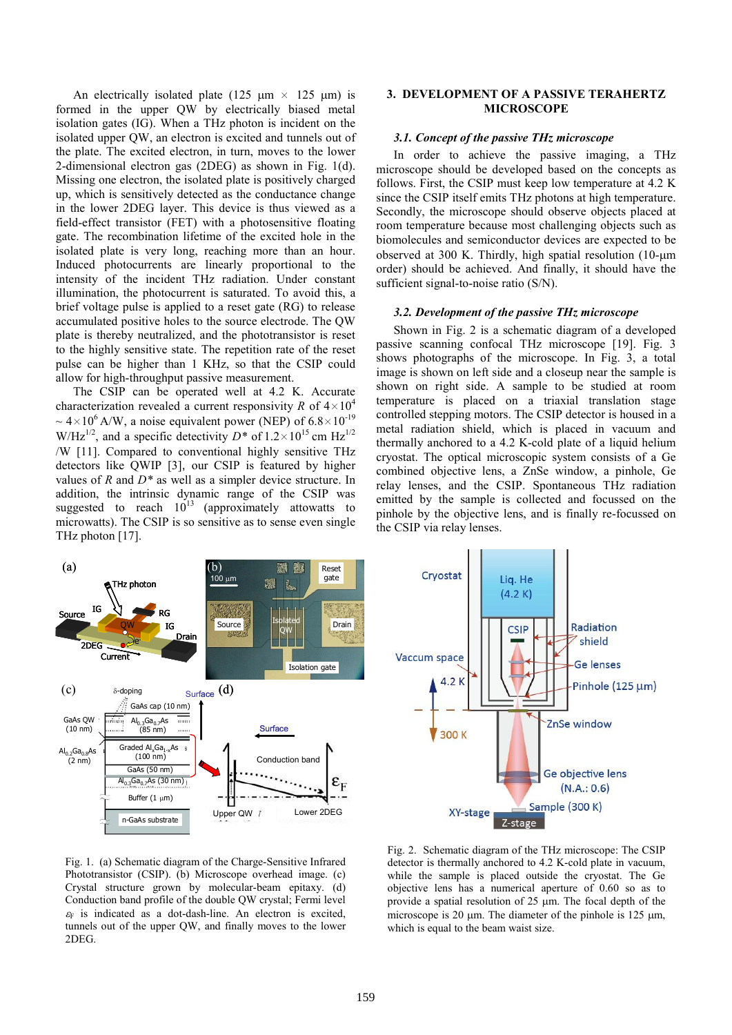An electrically isolated plate (125  $\mu$ m × 125  $\mu$ m) is formed in the upper QW by electrically biased metal isolation gates (IG). When a THz photon is incident on the isolated upper QW, an electron is excited and tunnels out of the plate. The excited electron, in turn, moves to the lower 2-dimensional electron gas (2DEG) as shown in Fig. 1(d). Missing one electron, the isolated plate is positively charged up, which is sensitively detected as the conductance change in the lower 2DEG layer. This device is thus viewed as a field-effect transistor (FET) with a photosensitive floating gate. The recombination lifetime of the excited hole in the isolated plate is very long, reaching more than an hour. Induced photocurrents are linearly proportional to the intensity of the incident THz radiation. Under constant illumination, the photocurrent is saturated. To avoid this, a brief voltage pulse is applied to a reset gate (RG) to release accumulated positive holes to the source electrode. The QW plate is thereby neutralized, and the phototransistor is reset to the highly sensitive state. The repetition rate of the reset pulse can be higher than 1 KHz, so that the CSIP could allow for high-throughput passive measurement.

The CSIP can be operated well at 4.2 K. Accurate characterization revealed a current responsivity *R* of  $4 \times 10^4$  $\sim 4 \times 10^6$  A/W, a noise equivalent power (NEP) of 6.8 $\times 10^{-19}$ W/Hz<sup>1/2</sup>, and a specific detectivity  $D^*$  of  $1.2 \times 10^{15}$  cm Hz<sup>1/2</sup> W [11]. Compared to conventional highly sensitive THz detectors like QWIP [3], our CSIP is featured by higher values of *R* and *D\** as well as a simpler device structure. In addition, the intrinsic dynamic range of the CSIP was suggested to reach  $10^{13}$  (approximately attowatts to microwatts). The CSIP is so sensitive as to sense even single THz photon [17].

# **3. DEVELOPMENT OF A PASSIVE TERAHERTZ MICROSCOPE**

# *3.1. Concept of the passive THz microscope*

In order to achieve the passive imaging, a THz microscope should be developed based on the concepts as follows. First, the CSIP must keep low temperature at 4.2 K since the CSIP itself emits THz photons at high temperature. Secondly, the microscope should observe objects placed at room temperature because most challenging objects such as biomolecules and semiconductor devices are expected to be observed at 300 K. Thirdly, high spatial resolution  $(10\text{-}\mu\text{m})$ order) should be achieved. And finally, it should have the sufficient signal-to-noise ratio (S/N).

#### *3.2. Development of the passive THz microscope*

Shown in Fig. 2 is a schematic diagram of a developed passive scanning confocal THz microscope [19]. Fig. 3 shows photographs of the microscope. In Fig. 3, a total image is shown on left side and a closeup near the sample is shown on right side. A sample to be studied at room temperature is placed on a triaxial translation stage controlled stepping motors. The CSIP detector is housed in a metal radiation shield, which is placed in vacuum and thermally anchored to a 4.2 K-cold plate of a liquid helium cryostat. The optical microscopic system consists of a Ge combined objective lens, a ZnSe window, a pinhole, Ge relay lenses, and the CSIP. Spontaneous THz radiation emitted by the sample is collected and focussed on the pinhole by the objective lens, and is finally re-focussed on the CSIP via relay lenses.





Fig. 1. (a) Schematic diagram of the Charge-Sensitive Infrared Phototransistor (CSIP). (b) Microscope overhead image. (c) Crystal structure grown by molecular-beam epitaxy. (d) Conduction band profile of the double QW crystal; Fermi level  $\epsilon_F$  is indicated as a dot-dash-line. An electron is excited, tunnels out of the upper QW, and finally moves to the lower 2DEG.

Fig. 2. Schematic diagram of the THz microscope: The CSIP detector is thermally anchored to 4.2 K-cold plate in vacuum, while the sample is placed outside the cryostat. The Ge objective lens has a numerical aperture of 0.60 so as to provide a spatial resolution of  $25 \mu m$ . The focal depth of the microscope is 20  $\mu$ m. The diameter of the pinhole is 125  $\mu$ m, which is equal to the beam waist size.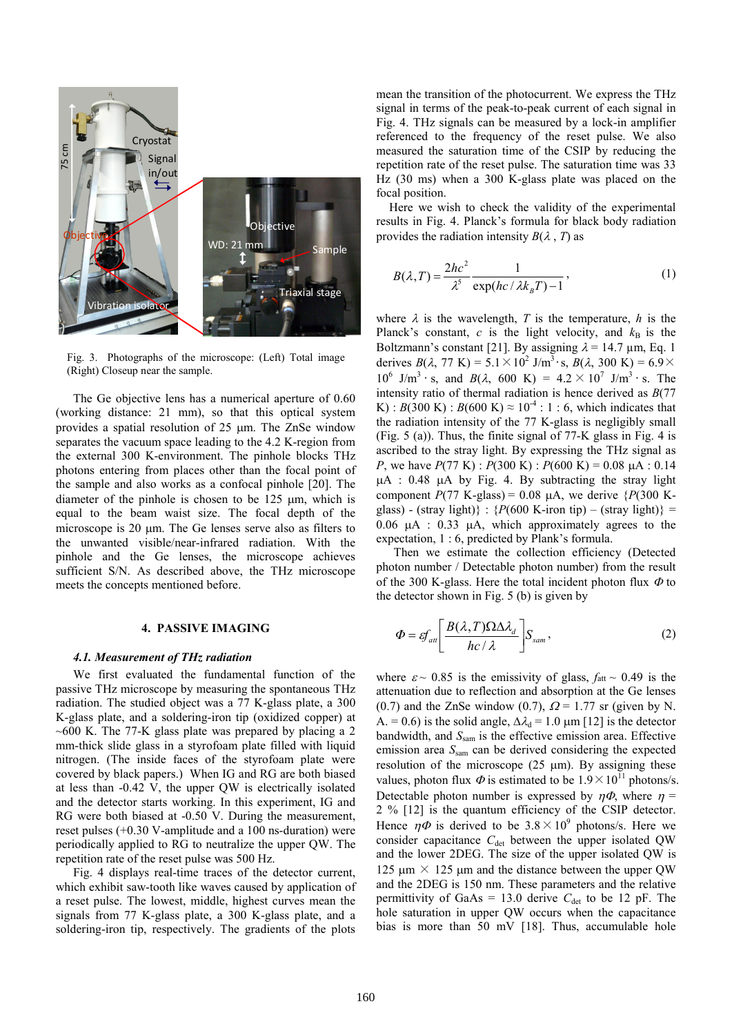

Fig. 3. Photographs of the microscope: (Left) Total image (Right) Closeup near the sample.

The Ge objective lens has a numerical aperture of 0.60 (working distance: 21 mm), so that this optical system provides a spatial resolution of 25 um. The ZnSe window separates the vacuum space leading to the 4.2 K-region from the external 300 K-environment. The pinhole blocks THz photons entering from places other than the focal point of the sample and also works as a confocal pinhole [20]. The diameter of the pinhole is chosen to be  $125 \mu m$ , which is equal to the beam waist size. The focal depth of the microscope is  $20 \mu m$ . The Ge lenses serve also as filters to the unwanted visible/near-infrared radiation. With the pinhole and the Ge lenses, the microscope achieves sufficient S/N. As described above, the THz microscope meets the concepts mentioned before.

# **4. PASSIVE IMAGING**

## *4.1. Measurement of THz radiation*

We first evaluated the fundamental function of the passive THz microscope by measuring the spontaneous THz radiation. The studied object was a 77 K-glass plate, a 300 K-glass plate, and a soldering-iron tip (oxidized copper) at  $\sim$  600 K. The 77-K glass plate was prepared by placing a 2 mm-thick slide glass in a styrofoam plate filled with liquid nitrogen. (The inside faces of the styrofoam plate were covered by black papers.) When IG and RG are both biased at less than -0.42 V, the upper QW is electrically isolated and the detector starts working. In this experiment, IG and RG were both biased at -0.50 V. During the measurement, reset pulses (+0.30 V-amplitude and a 100 ns-duration) were periodically applied to RG to neutralize the upper QW. The repetition rate of the reset pulse was 500 Hz.

Fig. 4 displays real-time traces of the detector current, which exhibit saw-tooth like waves caused by application of a reset pulse. The lowest, middle, highest curves mean the signals from 77 K-glass plate, a 300 K-glass plate, and a soldering-iron tip, respectively. The gradients of the plots mean the transition of the photocurrent. We express the THz signal in terms of the peak-to-peak current of each signal in Fig. 4. THz signals can be measured by a lock-in amplifier referenced to the frequency of the reset pulse. We also measured the saturation time of the CSIP by reducing the repetition rate of the reset pulse. The saturation time was 33 Hz (30 ms) when a 300 K-glass plate was placed on the focal position.

Here we wish to check the validity of the experimental results in Fig. 4. Planck's formula for black body radiation provides the radiation intensity  $B(\lambda, T)$  as

$$
B(\lambda, T) = \frac{2hc^2}{\lambda^5} \frac{1}{\exp(hc/\lambda k_B T) - 1},
$$
 (1)

where  $\lambda$  is the wavelength, *T* is the temperature, *h* is the Planck's constant,  $c$  is the light velocity, and  $k_B$  is the Boltzmann's constant [21]. By assigning  $\lambda = 14.7 \text{ µm}$ , Eq. 1 derives  $B(\lambda, 77 \text{ K}) = 5.1 \times 10^2 \text{ J/m}^3 \cdot \text{s}, B(\lambda, 300 \text{ K}) = 6.9 \times$  $10^6$  J/m<sup>3</sup> · s, and  $B(\lambda, 600 \text{ K}) = 4.2 \times 10^7 \text{ J/m}^3$  · s. The intensity ratio of thermal radiation is hence derived as *B*(77 K) : *B*(300 K) : *B*(600 K)  $\approx 10^{-4}$  : 1 : 6, which indicates that the radiation intensity of the 77 K-glass is negligibly small (Fig. 5 (a)). Thus, the finite signal of 77-K glass in Fig. 4 is ascribed to the stray light. By expressing the THz signal as *P*, we have  $P(77 \text{ K})$ :  $P(300 \text{ K})$ :  $P(600 \text{ K}) = 0.08 \text{ uA}$ : 0.14  $\mu$ A : 0.48  $\mu$ A by Fig. 4. By subtracting the stray light component  $P(77 \text{ K-glass}) = 0.08 \mu\text{A}$ , we derive  $\{P(300 \text{ K}-1000 \mu\text{A})\}$ glass) - (stray light)} :  ${P(600 \text{ K-iron tip}) - ($ stray light)} =  $0.06$   $\mu$ A : 0.33  $\mu$ A, which approximately agrees to the expectation, 1 : 6, predicted by Plank's formula.

Then we estimate the collection efficiency (Detected photon number / Detectable photon number) from the result of the 300 K-glass. Here the total incident photon flux  $\Phi$  to the detector shown in Fig. 5 (b) is given by

$$
\Phi = \varepsilon f_{\text{att}} \left[ \frac{B(\lambda, T) \Omega \Delta \lambda_d}{hc / \lambda} \right] S_{\text{sam}}, \tag{2}
$$

where  $\varepsilon \sim 0.85$  is the emissivity of glass,  $f_{\text{att}} \sim 0.49$  is the attenuation due to reflection and absorption at the Ge lenses (0.7) and the ZnSe window (0.7),  $\Omega = 1.77$  sr (given by N. A. = 0.6) is the solid angle,  $\Delta \lambda_d = 1.0 \text{ µm}$  [12] is the detector bandwidth, and *S*sam is the effective emission area. Effective emission area  $S<sub>sam</sub>$  can be derived considering the expected resolution of the microscope (25  $\mu$ m). By assigning these values, photon flux  $\Phi$  is estimated to be  $1.9 \times 10^{11}$  photons/s. Detectable photon number is expressed by  $\eta \Phi$ , where  $\eta =$ 2 % [12] is the quantum efficiency of the CSIP detector. Hence  $\eta \Phi$  is derived to be  $3.8 \times 10^9$  photons/s. Here we consider capacitance  $C_{\text{det}}$  between the upper isolated QW and the lower 2DEG. The size of the upper isolated QW is 125  $\mu$ m × 125  $\mu$ m and the distance between the upper QW and the 2DEG is 150 nm. These parameters and the relative permittivity of GaAs = 13.0 derive  $C_{\text{det}}$  to be 12 pF. The hole saturation in upper QW occurs when the capacitance bias is more than 50 mV [18]. Thus, accumulable hole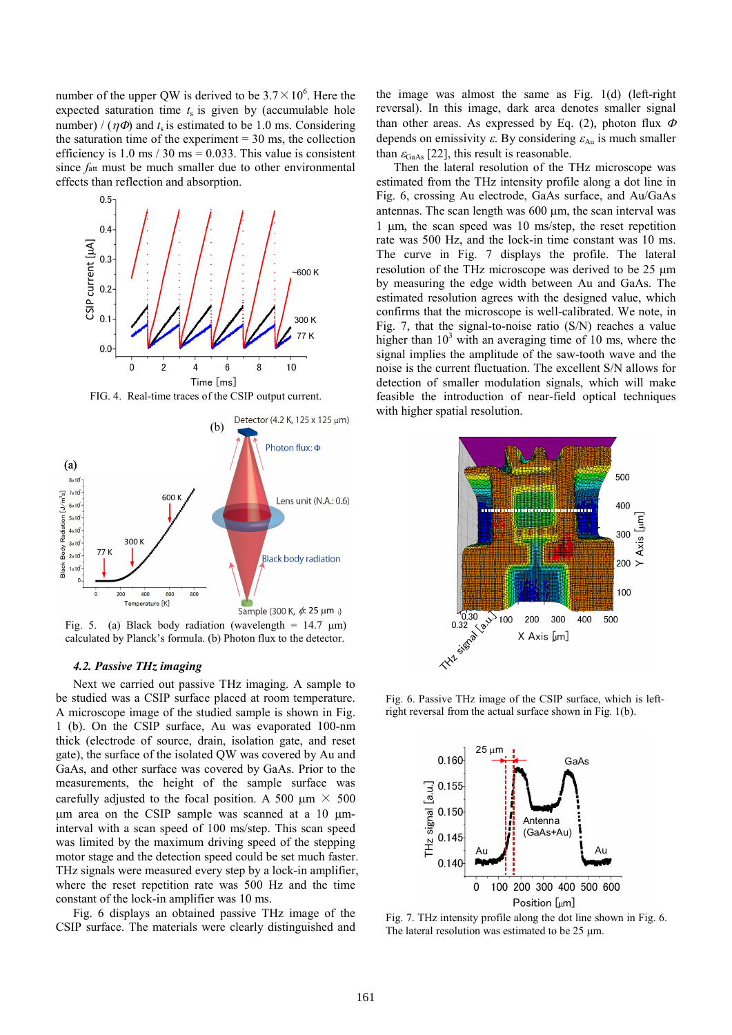number of the upper QW is derived to be  $3.7 \times 10^6$ . Here the expected saturation time  $t<sub>s</sub>$  is given by (accumulable hole number) /  $(\eta \Phi)$  and  $t_s$  is estimated to be 1.0 ms. Considering the saturation time of the experiment  $= 30$  ms, the collection efficiency is 1.0 ms  $/ 30$  ms = 0.033. This value is consistent since  $f_{\text{att}}$  must be much smaller due to other environmental effects than reflection and absorption.





Fig. 5. (a) Black body radiation (wavelength =  $14.7 \mu m$ ) calculated by Planck's formula. (b) Photon flux to the detector.

## *4.2. Passive THz imaging*

Next we carried out passive THz imaging. A sample to be studied was a CSIP surface placed at room temperature. A microscope image of the studied sample is shown in Fig. 1 (b). On the CSIP surface, Au was evaporated 100-nm thick (electrode of source, drain, isolation gate, and reset gate), the surface of the isolated QW was covered by Au and GaAs, and other surface was covered by GaAs. Prior to the measurements, the height of the sample surface was carefully adjusted to the focal position. A 500  $\mu$ m  $\times$  500  $\mu$ m area on the CSIP sample was scanned at a 10  $\mu$ minterval with a scan speed of 100 ms/step. This scan speed was limited by the maximum driving speed of the stepping motor stage and the detection speed could be set much faster. THz signals were measured every step by a lock-in amplifier, where the reset repetition rate was 500 Hz and the time constant of the lock-in amplifier was 10 ms.

Fig. 6 displays an obtained passive THz image of the CSIP surface. The materials were clearly distinguished and the image was almost the same as Fig. 1(d) (left-right reversal). In this image, dark area denotes smaller signal than other areas. As expressed by Eq. (2), photon flux  $\Phi$ depends on emissivity  $\varepsilon$ . By considering  $\varepsilon_{Au}$  is much smaller than  $\varepsilon_{\text{GaAs}}$  [22], this result is reasonable.

Then the lateral resolution of the THz microscope was estimated from the THz intensity profile along a dot line in Fig. 6, crossing Au electrode, GaAs surface, and Au/GaAs antennas. The scan length was  $600 \text{ µm}$ , the scan interval was 1  $\mu$ m, the scan speed was 10 ms/step, the reset repetition rate was 500 Hz, and the lock-in time constant was 10 ms. The curve in Fig. 7 displays the profile. The lateral resolution of the THz microscope was derived to be  $25 \mu m$ by measuring the edge width between Au and GaAs. The estimated resolution agrees with the designed value, which confirms that the microscope is well-calibrated. We note, in Fig. 7, that the signal-to-noise ratio (S/N) reaches a value higher than  $10<sup>3</sup>$  with an averaging time of 10 ms, where the signal implies the amplitude of the saw-tooth wave and the noise is the current fluctuation. The excellent S/N allows for detection of smaller modulation signals, which will make feasible the introduction of near-field optical techniques with higher spatial resolution.



Fig. 6. Passive THz image of the CSIP surface, which is leftright reversal from the actual surface shown in Fig. 1(b).



Fig. 7. THz intensity profile along the dot line shown in Fig. 6. The lateral resolution was estimated to be  $25 \mu m$ .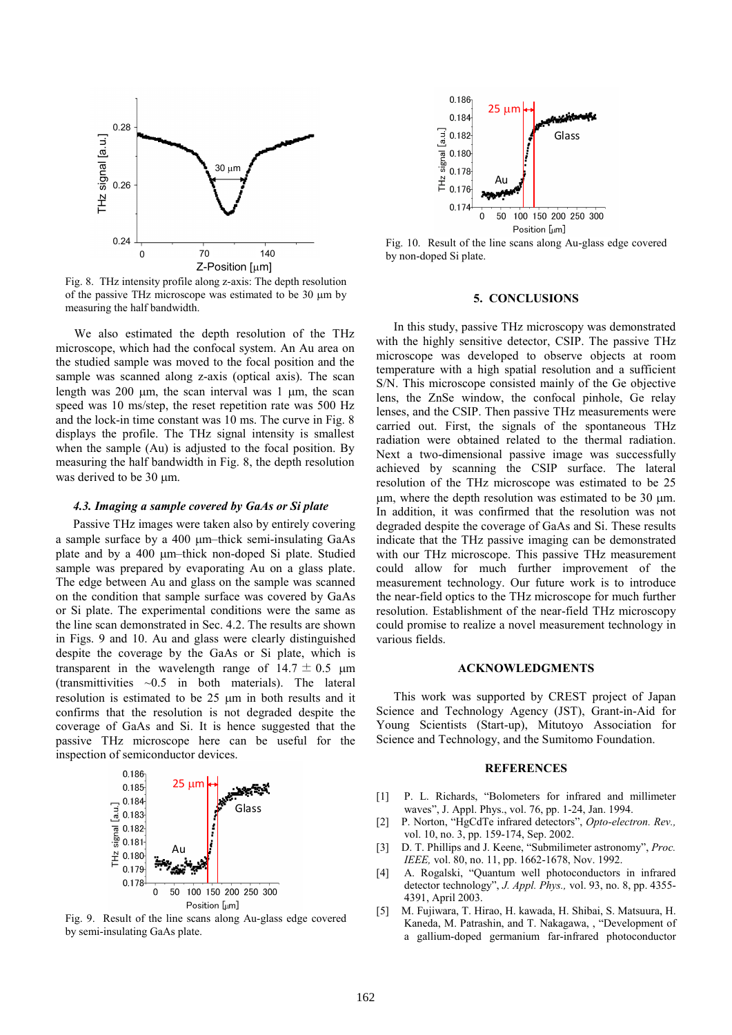

Fig. 8. THz intensity profile along z-axis: The depth resolution of the passive THz microscope was estimated to be  $30 \mu m$  by measuring the half bandwidth.

We also estimated the depth resolution of the THz microscope, which had the confocal system. An Au area on the studied sample was moved to the focal position and the sample was scanned along z-axis (optical axis). The scan length was 200  $\mu$ m, the scan interval was 1  $\mu$ m, the scan speed was 10 ms/step, the reset repetition rate was 500 Hz and the lock-in time constant was 10 ms. The curve in Fig. 8 displays the profile. The THz signal intensity is smallest when the sample (Au) is adjusted to the focal position. By measuring the half bandwidth in Fig. 8, the depth resolution was derived to be  $30 \text{ µm}$ .

## *4.3. Imaging a sample covered by GaAs or Si plate*

Passive THz images were taken also by entirely covering a sample surface by a 400  $\mu$ m–thick semi-insulating GaAs plate and by a 400  $\mu$ m–thick non-doped Si plate. Studied sample was prepared by evaporating Au on a glass plate. The edge between Au and glass on the sample was scanned on the condition that sample surface was covered by GaAs or Si plate. The experimental conditions were the same as the line scan demonstrated in Sec. 4.2. The results are shown in Figs. 9 and 10. Au and glass were clearly distinguished despite the coverage by the GaAs or Si plate, which is transparent in the wavelength range of  $14.7 \pm 0.5$  µm (transmittivities  $\sim 0.5$  in both materials). The lateral resolution is estimated to be 25 µm in both results and it confirms that the resolution is not degraded despite the coverage of GaAs and Si. It is hence suggested that the passive THz microscope here can be useful for the inspection of semiconductor devices.



Fig. 9. Result of the line scans along Au-glass edge covered by semi-insulating GaAs plate.



Fig. 10. Result of the line scans along Au-glass edge covered by non-doped Si plate.

#### **5. CONCLUSIONS**

In this study, passive THz microscopy was demonstrated with the highly sensitive detector, CSIP. The passive THz microscope was developed to observe objects at room temperature with a high spatial resolution and a sufficient S/N. This microscope consisted mainly of the Ge objective lens, the ZnSe window, the confocal pinhole, Ge relay lenses, and the CSIP. Then passive THz measurements were carried out. First, the signals of the spontaneous THz radiation were obtained related to the thermal radiation. Next a two-dimensional passive image was successfully achieved by scanning the CSIP surface. The lateral resolution of the THz microscope was estimated to be 25  $\mu$ m, where the depth resolution was estimated to be 30  $\mu$ m. In addition, it was confirmed that the resolution was not degraded despite the coverage of GaAs and Si. These results indicate that the THz passive imaging can be demonstrated with our THz microscope. This passive THz measurement could allow for much further improvement of the measurement technology. Our future work is to introduce the near-field optics to the THz microscope for much further resolution. Establishment of the near-field THz microscopy could promise to realize a novel measurement technology in various fields.

## **ACKNOWLEDGMENTS**

This work was supported by CREST project of Japan Science and Technology Agency (JST), Grant-in-Aid for Young Scientists (Start-up), Mitutoyo Association for Science and Technology, and the Sumitomo Foundation.

## **REFERENCES**

- [1] P. L. Richards, "Bolometers for infrared and millimeter waves", J. Appl. Phys., vol. 76, pp. 1-24, Jan. 1994.
- [2] P. Norton, "HgCdTe infrared detectors", *Opto-electron. Rev.,* vol. 10, no. 3, pp. 159-174, Sep. 2002.
- [3] D. T. Phillips and J. Keene, "Submilimeter astronomy", *Proc. IEEE,* vol. 80, no. 11, pp. 1662-1678, Nov. 1992.
- [4] A. Rogalski, "Quantum well photoconductors in infrared detector technology", *J. Appl. Phys.,* vol. 93, no. 8, pp. 4355- 4391, April 2003.
- [5] M. Fujiwara, T. Hirao, H. kawada, H. Shibai, S. Matsuura, H. Kaneda, M. Patrashin, and T. Nakagawa, , "Development of a gallium-doped germanium far-infrared photoconductor